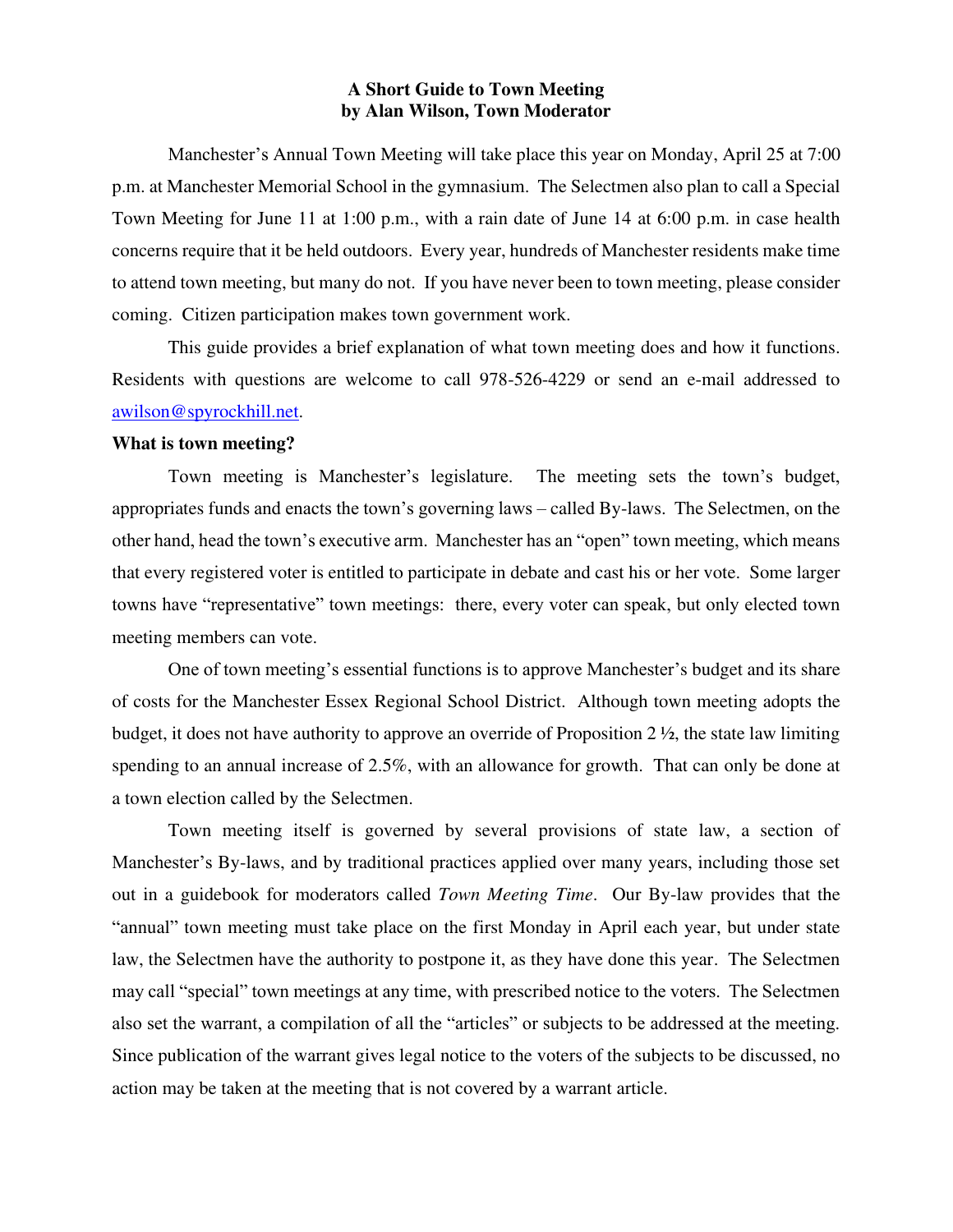## **A Short Guide to Town Meeting by Alan Wilson, Town Moderator**

Manchester's Annual Town Meeting will take place this year on Monday, April 25 at 7:00 p.m. at Manchester Memorial School in the gymnasium. The Selectmen also plan to call a Special Town Meeting for June 11 at 1:00 p.m., with a rain date of June 14 at 6:00 p.m. in case health concerns require that it be held outdoors. Every year, hundreds of Manchester residents make time to attend town meeting, but many do not. If you have never been to town meeting, please consider coming. Citizen participation makes town government work.

 This guide provides a brief explanation of what town meeting does and how it functions. Residents with questions are welcome to call 978-526-4229 or send an e-mail addressed to [awilson@spyrockhill.net.](mailto:awilson@spyrockhill.net)

## **What is town meeting?**

Town meeting is Manchester's legislature. The meeting sets the town's budget, appropriates funds and enacts the town's governing laws – called By-laws. The Selectmen, on the other hand, head the town's executive arm. Manchester has an "open" town meeting, which means that every registered voter is entitled to participate in debate and cast his or her vote. Some larger towns have "representative" town meetings: there, every voter can speak, but only elected town meeting members can vote.

One of town meeting's essential functions is to approve Manchester's budget and its share of costs for the Manchester Essex Regional School District. Although town meeting adopts the budget, it does not have authority to approve an override of Proposition 2 ½, the state law limiting spending to an annual increase of 2.5%, with an allowance for growth. That can only be done at a town election called by the Selectmen.

 Town meeting itself is governed by several provisions of state law, a section of Manchester's By-laws, and by traditional practices applied over many years, including those set out in a guidebook for moderators called *Town Meeting Time*. Our By-law provides that the "annual" town meeting must take place on the first Monday in April each year, but under state law, the Selectmen have the authority to postpone it, as they have done this year. The Selectmen may call "special" town meetings at any time, with prescribed notice to the voters. The Selectmen also set the warrant, a compilation of all the "articles" or subjects to be addressed at the meeting. Since publication of the warrant gives legal notice to the voters of the subjects to be discussed, no action may be taken at the meeting that is not covered by a warrant article.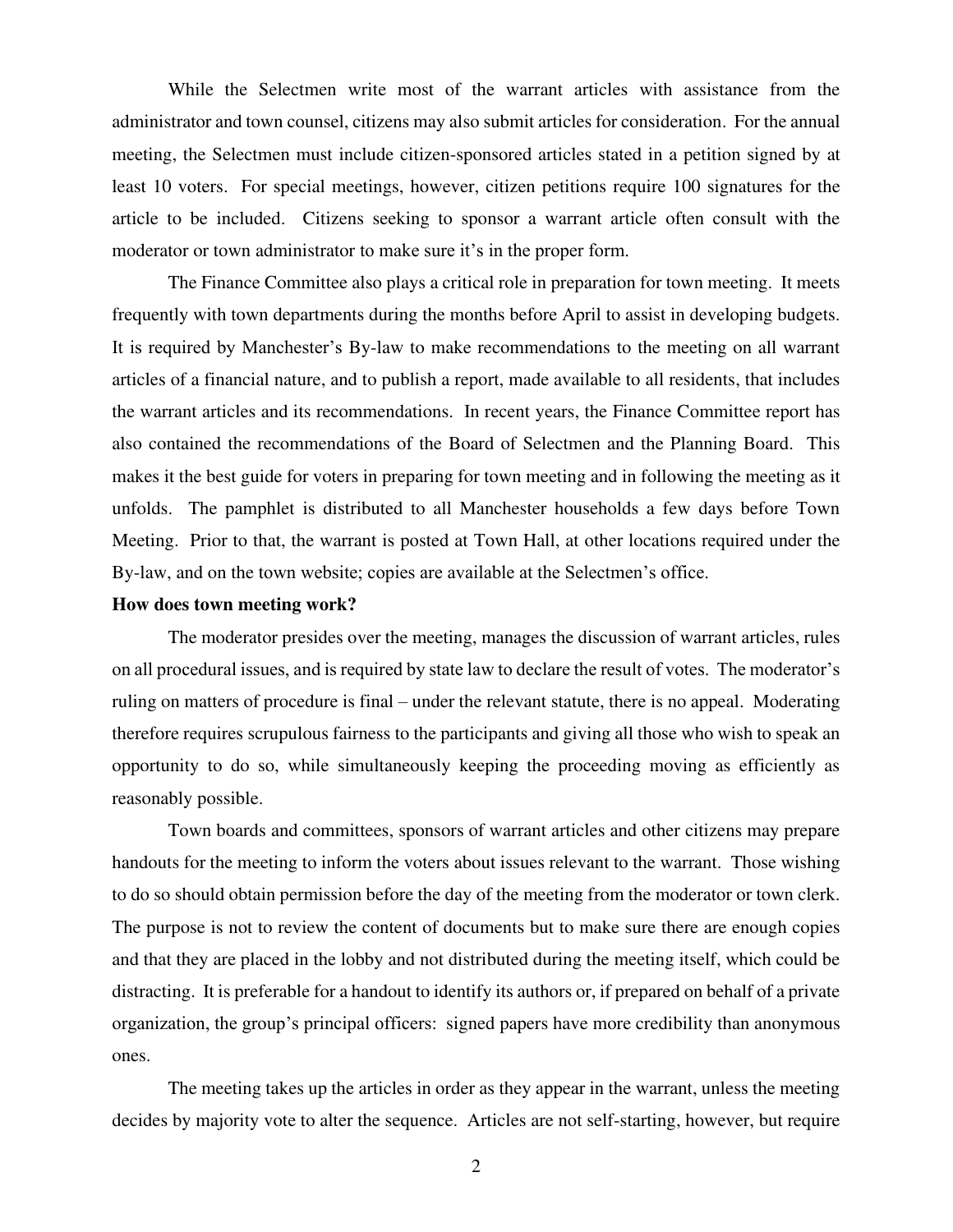While the Selectmen write most of the warrant articles with assistance from the administrator and town counsel, citizens may also submit articles for consideration. For the annual meeting, the Selectmen must include citizen-sponsored articles stated in a petition signed by at least 10 voters. For special meetings, however, citizen petitions require 100 signatures for the article to be included. Citizens seeking to sponsor a warrant article often consult with the moderator or town administrator to make sure it's in the proper form.

 The Finance Committee also plays a critical role in preparation for town meeting. It meets frequently with town departments during the months before April to assist in developing budgets. It is required by Manchester's By-law to make recommendations to the meeting on all warrant articles of a financial nature, and to publish a report, made available to all residents, that includes the warrant articles and its recommendations. In recent years, the Finance Committee report has also contained the recommendations of the Board of Selectmen and the Planning Board. This makes it the best guide for voters in preparing for town meeting and in following the meeting as it unfolds. The pamphlet is distributed to all Manchester households a few days before Town Meeting. Prior to that, the warrant is posted at Town Hall, at other locations required under the By-law, and on the town website; copies are available at the Selectmen's office.

## **How does town meeting work?**

 The moderator presides over the meeting, manages the discussion of warrant articles, rules on all procedural issues, and is required by state law to declare the result of votes. The moderator's ruling on matters of procedure is final – under the relevant statute, there is no appeal. Moderating therefore requires scrupulous fairness to the participants and giving all those who wish to speak an opportunity to do so, while simultaneously keeping the proceeding moving as efficiently as reasonably possible.

 Town boards and committees, sponsors of warrant articles and other citizens may prepare handouts for the meeting to inform the voters about issues relevant to the warrant. Those wishing to do so should obtain permission before the day of the meeting from the moderator or town clerk. The purpose is not to review the content of documents but to make sure there are enough copies and that they are placed in the lobby and not distributed during the meeting itself, which could be distracting. It is preferable for a handout to identify its authors or, if prepared on behalf of a private organization, the group's principal officers: signed papers have more credibility than anonymous ones.

 The meeting takes up the articles in order as they appear in the warrant, unless the meeting decides by majority vote to alter the sequence. Articles are not self-starting, however, but require